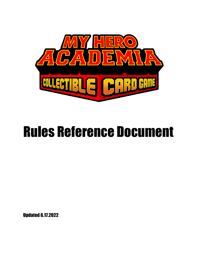

# Rules Reference Document

Updated 6.17.2022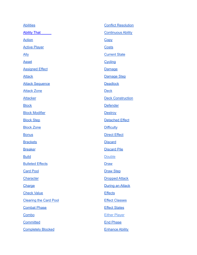| <b>Abilities</b>              | <b>Conflict Resolution</b> |
|-------------------------------|----------------------------|
| <b>Ability That</b>           | <b>Continuous Ability</b>  |
| <b>Action</b>                 | Copy                       |
| <b>Active Player</b>          | <b>Costs</b>               |
| <u>Ally</u>                   | <b>Current State</b>       |
| <b>Asset</b>                  | <b>Cycling</b>             |
| <b>Assigned Effect</b>        | <b>Damage</b>              |
| <b>Attack</b>                 | Damage Step                |
| <b>Attack Sequence</b>        | <b>Deadlock</b>            |
| <b>Attack Zone</b>            | <b>Deck</b>                |
| <b>Attacker</b>               | <b>Deck Construction</b>   |
| <b>Block</b>                  | <b>Defender</b>            |
| <b>Block Modifier</b>         | <b>Destroy</b>             |
| <b>Block Step</b>             | <b>Detached Effect</b>     |
| <b>Block Zone</b>             | <b>Difficulty</b>          |
| <b>Bonus</b>                  | <b>Direct Effect</b>       |
| <b>Brackets</b>               | <b>Discard</b>             |
| <b>Breaker</b>                | <b>Discard Pile</b>        |
| <b>Build</b>                  | <b>Double</b>              |
| <b>Bulleted Effects</b>       | <b>Draw</b>                |
| <b>Card Pool</b>              | <b>Draw Step</b>           |
| <b>Character</b>              | <b>Dropped Attack</b>      |
| <b>Charge</b>                 | <b>During an Attack</b>    |
| <b>Check Value</b>            | <b>Effects</b>             |
| <b>Clearing the Card Pool</b> | <b>Effect Classes</b>      |
| <b>Combat Phase</b>           | <b>Effect States</b>       |
| Combo                         | <b>Either Player</b>       |
| <b>Committed</b>              | <b>End Phase</b>           |
| <b>Completely Blocked</b>     | <b>Enhance Ability</b>     |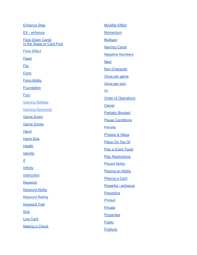| <b>Enhance Step</b>       | <b>Modifier Effect</b>     |
|---------------------------|----------------------------|
| <b>EX</b> - enhance       | <b>Momentum</b>            |
| <b>Face Down Cards</b>    | <b>Mulligan</b>            |
| In the Stage or Card Pool | <b>Naming Cards</b>        |
| <b>Fired Effect</b>       | <b>Negative Numbers</b>    |
| <b>Flash</b>              | <b>Next</b>                |
| <b>Flip</b>               | Non-Character              |
| Form                      | Once per game              |
| <b>Form Ability</b>       | Once per turn              |
| <b>Foundation</b>         | $Or$                       |
| <b>Fury</b>               | <b>Order of Operations</b> |
| <b>Gaining Abilities</b>  |                            |
| <b>Gaining Keywords</b>   | Owner                      |
| <b>Game Event</b>         | <b>Partially Blocked</b>   |
| <b>Game Zones</b>         | <b>Pause Conditions</b>    |
| <b>Hand</b>               | Penalty                    |
| <b>Hand Size</b>          | <b>Phases &amp; Steps</b>  |
| <b>Health</b>             | Place On Top Of            |
|                           | Play a [Card Type]         |
| <b>Identity</b>           | <b>Play Restrictions</b>   |
| <u>If</u>                 | <b>Played Ability</b>      |
| <b>Infinity</b>           | <b>Playing an Ability</b>  |
| Instruction               | <b>Playing a Card</b>      |
| <b>Keyword</b>            | Powerful - enhance         |
| <b>Keyword Ability</b>    | Preceding                  |
| <b>Keyword Rating</b>     | <b>Printed</b>             |
| <b>Keyword Trait</b>      | <b>Private</b>             |
| <b>Kick</b>               |                            |
| <b>Live Card</b>          | <b>Properties</b>          |
| <b>Making a Check</b>     | <b>Public</b>              |
|                           | <b>Publicity</b>           |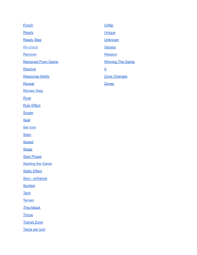| <b>Punch</b>             | Unflip                  |
|--------------------------|-------------------------|
| Ready                    | <b>Unique</b>           |
| <b>Ready Step</b>        | <b>Unknown</b>          |
| Re-check                 | <b>Version</b>          |
| Remove                   | Weapon                  |
| <b>Removed From Game</b> | <b>Winning The Game</b> |
| Resolve                  | $\underline{X}$         |
| <b>Response Ability</b>  | Zone Changes            |
| Reveal                   | <b>Zones</b>            |
| <b>Review Step</b>       |                         |
| <b>Rival</b>             |                         |
| <b>Rule Effect</b>       |                         |
| <b>Scope</b>             |                         |
| <b>Seal</b>              |                         |
| Set Icon                 |                         |
| <b>Slam</b>              |                         |
| <b>Speed</b>             |                         |
| <b>Stage</b>             |                         |
| <b>Start Phase</b>       |                         |
| <b>Starting the Game</b> |                         |
| <b>Static Effect</b>     |                         |
| Stun - enhance           |                         |
| <b>Symbol</b>            |                         |
| <b>Tech</b>              |                         |
| <b>Terrain</b>           |                         |
| <b>This Attack</b>       |                         |
| <b>Throw</b>             |                         |
| <b>Transit Zone</b>      |                         |
| <b>Twice per turn</b>    |                         |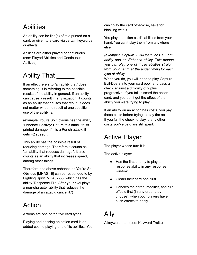#### <span id="page-4-0"></span>**Abilities**

An ability can be line(s) of text printed on a card, or given to a card via certain keywords or effects.

Abilities are either played or continuous. (see: Played Abilities and Continuous Abilities)

## <span id="page-4-1"></span>Ability That

If an effect refers to "an ability that" does something, it is referring to the possible results of the ability in general. If an ability can cause a result in any situation, it counts as an ability that causes that result. It does not matter what the result of one specific use of the ability is.

(example: You're So Obvious has the ability 'Enhance Destroy: Return this attack to its printed damage. If it is a Punch attack, it gets +2 speed.'.

This ability has the possible result of reducing damage. Therefore it counts as "an ability that reduces damage". It also counts as an ability that increases speed, among other things.

Therefore, the above enhance on You're So Obvious [MHA01-9] can be responded to by Fighting Spirit [MHA02-53] which has the ability 'Response Flip: After your rival plays a non-character ability that reduces the damage of an attack, cancel it.')

#### <span id="page-4-2"></span>Action

Actions are one of the five card types.

Playing and passing an action card is an added cost to playing one of its abilities. You can't play the card otherwise, save for blocking with it.

You play an action card's abilities from your hand. You can't play them from anywhere else.

*(example: Capture Evil-Doers has a Form ability and an Enhance ability. This means you can play one of those abilities straight from your hand, at the usual timing for each type of ability.*

When you do, you will need to play Capture Evil-Doers into your card pool, and pass a check against a difficulty of 2 plus progressive. If you fail, discard the action card, and you don't get the effect of the ability you were trying to play.)

If an ability on an action has costs, you pay those costs before trying to play the action. If you fail the check to play it, any other costs you've paid are still spent.

#### <span id="page-4-3"></span>Active Player

The player whose turn it is.

The active player:

- Has the first priority to play a response ability in any response window.
- Clears their card pool first.
- Handles their fired, modifier, and rule effects first (in any order they choose), when both players have such effects to apply.

## <span id="page-4-4"></span>Ally

A keyword trait. (see: Keyword Traits)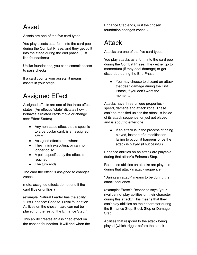#### <span id="page-5-0"></span>Asset

Assets are one of the five card types.

You play assets as a form into the card pool during the Combat Phase, and they get built into the stage during the end phase. (just like foundations)

Unlike foundations, you can't commit assets to pass checks.

If a card counts your assets, it means assets in your stage.

## <span id="page-5-1"></span>Assigned Effect

Assigned effects are one of the three effect states. (An effect's "state" dictates how it behaves if related cards move or change. see: Effect States)

- Any non-static effect that is specific to a particular card, is an assigned effect.
- Assigned effects end when:
- They finish executing, or can no longer do so.
- A point specified by the effect is reached.
- The turn ends.

The card the effect is assigned to changes zones.

(note: assigned effects do not end if the card flips or unflips.)

(example: Natural Leader has the ability "First Enhance: Choose 1 rival foundation. Abilities on the chosen card can not be played for the rest of the Enhance Step."

This ability creates an assigned effect on the chosen foundation. It will end when the Enhance Step ends, or if the chosen foundation changes zones.)

#### <span id="page-5-2"></span>**Attack**

Attacks are one of the five card types.

You play attacks as a form into the card pool during the Combat Phase. They either go to momentum (if they deal damage) or get discarded during the End Phase.

● You may choose to discard an attack that dealt damage during the End Phase, if you don't want the momentum.

Attacks have three unique properties speed, damage and attack zone. These can't be modified unless the attack is inside of its attack sequence, or just got played and is about to enter one.

● If an attack is in the process of being played, instead of a modification failing to occur, it happens once the attack is played (if successful).

Enhance abilities on an attack are playable during that attack's Enhance Step.

Response abilities on attacks are playable during that attack's attack sequence.

"During an attack" means to be during the attack sequence.

(example: Erase's Response says "your rival cannot play abilities on their character during this attack." This means that they can't play abilities on their character during the Enhance Step, Block Step or Damage Step.

Abilities that respond to the attack being played (which trigger before the attack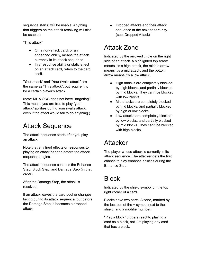sequence starts) will be usable. Anything that triggers on the attack resolving will also be usable.)

"This attack"

- On a non-attack card, or an enhanced ability, means the attack currently in its attack sequence.
- In a response ability or static effect on an attack card, refers to the card itself.

"Your attack" and "Your rival's attack" are the same as "This attack", but require it to be a certain player's attack.

(note: MHA CCG does not have "targeting". This means you are free to play "your attack" abilities during your rival's attack, even if the effect would fail to do anything.)

#### <span id="page-6-0"></span>Attack Sequence

The attack sequence starts after you play an attack.

Note that any fired effects or responses to playing an attack happen before the attack sequence begins.

The attack sequence contains the Enhance Step, Block Step, and Damage Step (in that order).

After the Damage Step, the attack is resolved.

If an attack leaves the card pool or changes facing during its attack sequence, but before the Damage Step, it becomes a dropped attack.

• Dropped attacks end their attack sequence at the next opportunity. (see: Dropped Attack)

#### <span id="page-6-1"></span>Attack Zone

Indicated by the arrowed circle on the right side of an attack. A highlighted top arrow means it's a high attack, the middle arrow means it's a mid attack, and the bottom arrow means it's a low attack.

- High attacks are completely blocked by high blocks, and partially blocked by mid blocks. They can't be blocked with low blocks.
- Mid attacks are completely blocked by mid blocks, and partially blocked by high or low blocks.
- Low attacks are completely blocked by low blocks, and partially blocked by mid blocks. They can't be blocked with high blocks.

#### <span id="page-6-2"></span>Attacker

The player whose attack is currently in its attack sequence. The attacker gets the first chance to play enhance abilities during the Enhance Step.

#### <span id="page-6-3"></span>**Block**

Indicated by the shield symbol on the top right corner of a card.

Blocks have two parts. A zone, marked by the location of the + symbol next to the shield, and a modifier number.

"Play a block" triggers react to playing a card as a block, not just playing any card that has a block.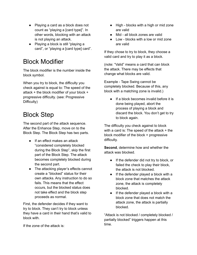- Playing a card as a block does not count as "playing a [card type]". In other words, blocking with an attack is not playing an attack.
- Playing a block is still "playing a card", or "playing a [card type] card".

#### <span id="page-7-0"></span>Block Modifier

The block modifier is the number inside the block symbol.

When you try to block, the difficulty you check against is equal to: The speed of the attack + the block modifier of your block + progressive difficulty. (see: Progressive Difficulty)

#### <span id="page-7-1"></span>Block Step

The second part of the attack sequence. After the Enhance Step, move on to the Block Step. The Block Step has two parts.

- If an effect makes an attack "considered completely blocked during the Block Step", skip the first part of the Block Step. The attack becomes completely blocked during the second part.
- The attacking player's effects cannot create a "blocked" status for their own attacks. Any instruction to do so fails. This means that the effect occurs, but the blocked status does not take effect and the block step proceeds as normal.

First, the defender decides if they want to try to block. They can't try to block unless they have a card in their hand that's valid to block with.

If the zone of the attack is:

- High blocks with a high or mid zone are valid
- Mid all block zones are valid
- Low blocks with a low or mid zone are valid

If they chose to try to block, they choose a valid card and try to play it as a block.

(note: "Valid" means a card that can block the attack. There may be effects that change what blocks are valid.

Example - Tape Swing cannot be completely blocked. Because of this, any block with a matching zone is invalid.)

● If a block becomes invalid before it is done being played, abort the process of playing a block and discard the block. You don't get to try to block again.

The difficulty you check against to block with a card is: The speed of the attack + the block modifier of the block + progressive difficulty.

**Second**, determine how and whether the attack was blocked.

- If the defender did not try to block, or failed the check to play their block, the attack is not blocked.
- If the defender played a block with a block zone that matches the attack zone, the attack is completely blocked.
- If the defender played a block with a block zone that does not match the attack zone, the attack is partially blocked.

"Attack is not blocked / completely blocked / partially blocked" triggers happen at this time.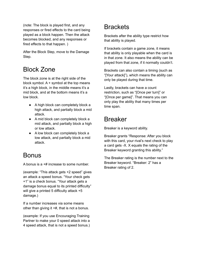(note: The block is played first, and any responses or fired effects to the card being played as a block happen. Then the attack becomes blocked, and any responses or fired effects to that happen. )

After the Block Step, move to the Damage Step.

#### <span id="page-8-0"></span>Block Zone

The block zone is at the right side of the block symbol.  $A +$  symbol at the top means it's a high block, in the middle means it's a mid block, and at the bottom means it's a low block.

- A high block can completely block a high attack, and partially block a mid attack.
- A mid block can completely block a mid attack, and partially block a high or low attack.
- A low block can completely block a low attack, and partially block a mid attack.

#### <span id="page-8-1"></span>**Bonus**

A bonus is a +# increase to some number.

(example: "This attack gets +2 speed" gives an attack a speed bonus. "Your check gets +1" is a check bonus. "Your attack gets a damage bonus equal to its printed difficulty" will give a printed 5 difficulty attack +5 damage.)

If a number increases via some means other than giving it +#, that is not a bonus.

(example: If you use Encouraging Training Partner to make your 0 speed attack into a 4 speed attack, that is not a speed bonus.)

## <span id="page-8-2"></span>**Brackets**

Brackets after the ability type restrict how that ability is played.

If brackets contain a game zone, it means that ability is only playable when the card is in that zone. It also means the ability can be played from that zone, if it normally couldn't.

Brackets can also contain a timing (such as "[Your attack]"), which means the ability can only be played during that time.

Lastly, brackets can have a count restriction, such as "[Once per turn]" or "[Once per game]". That means you can only play the ability that many times per time span.

## <span id="page-8-3"></span>Breaker

Breaker is a keyword ability.

Breaker grants "Response: After you block with this card, your rival's next check to play a card gets -X. X equals the rating of the Breaker keyword granting this ability."

The Breaker rating is the number next to the Breaker keyword. "Breaker: 2" has a Breaker rating of 2.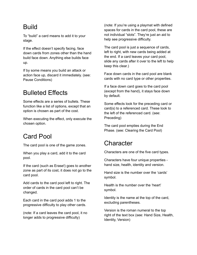#### <span id="page-9-0"></span>Build

To "build" a card means to add it to your stage.

If the effect doesn't specify facing, face down cards from zones other than the hand build face down. Anything else builds face up.

If by some means you build an attack or action face up, discard it immediately. (see: Pause Conditions)

## <span id="page-9-1"></span>Bulleted Effects

Some effects are a series of bullets. These function like a list of options, except that an option is chosen as part of the cost.

When executing the effect, only execute the chosen option.

#### <span id="page-9-2"></span>Card Pool

The card pool is one of the game zones.

When you play a card, add it to the card pool.

If the card (such as Erase!) goes to another zone as part of its cost, it does not go to the card pool.

Add cards to the card pool left to right. The order of cards in the card pool can't be changed.

Each card in the card pool adds 1 to the progressive difficulty to play other cards.

(note: If a card leaves the card pool, it no longer adds to progressive difficulty)

(note: If you're using a playmat with defined spaces for cards in the card pool, these are not individual "slots". They're just an aid to help see progressive difficulty.

The card pool is just a sequence of cards, left to right, with new cards being added at the end. If a card leaves your card pool, slide any cards after it over to the left to help keep this clear.)

Face down cards in the card pool are blank cards with no card type or other properties.

If a face down card goes to the card pool (except from the hand), it stays face down by default.

Some effects look for the preceding card or card(s) to a referenced card. These look to the left of the referenced card. (see: Preceding)

The card pool empties during the End Phase. (see: Clearing the Card Pool)

#### <span id="page-9-3"></span>**Character**

Characters are one of the five card types.

Characters have four unique properties hand size, health, identity and version.

Hand size is the number over the 'cards' symbol.

Health is the number over the 'heart' symbol.

Identity is the name at the top of the card, excluding parentheses.

Version is the roman numeral to the top right of the text box (see: Hand Size, Health, Identity, Version)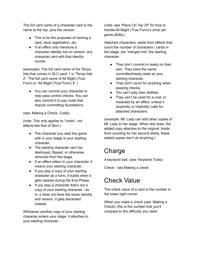The full card name of a character card is the name at the top, plus the version.

- This is for the purposes of naming a card, deck registration, etc.
- If an effect only mentions a character identity but no version, any character card with that identity counts.

(examples: The full card name of the Tenya Iida that comes in DLC pack 1 is "Tenya Iida 2". The full card name of All Might (True Form) is "All Might (True Form) 4".)

● You can commit your character to help pass control checks. You can also commit it to pay costs that require committing foundations.

(see: Making a Check, Costs)

(note: This only applies to \*costs\*, not effects like that of Stun.)

- The character you start the game with in your stage is your starting character.
- The starting character can't be destroyed, flipped, or otherwise removed from the stage.
- If an effect refers to your character, it means your starting character.
- If you play a copy of your starting character as a form, it builds when it gets cleared during the End Phase.
- If you play a character that's not a copy of your starting character - as in, it does not have the same identity and version, it gets discarded instead.

Whenever another copy of your starting character enters your stage, it attaches to your starting character.

(note: see "Place On Top Of" for how to handle All Might (True Form)'s once per game ability.)

Attached characters, aside from effects that count the number of characters / cards in the stage, are "merged into" the starting character.

- They don't commit or ready on their own. They have the same committed/ready state as your starting character.
- They don't count for anything when passing checks.
- You can't play their abilities.
- They can't be used for a cost, or impacted by an effect, unless it (explicitly or implicitly) calls for attached characters.

(example: Mt. Lady can add other copies of Mt. Lady to her stage. When she does, the added copy attaches to the original. Aside from counting for her second ability, these added copies don't do anything.)

## <span id="page-10-0"></span>Charge

A keyword trait. (see: Keyword Traits)

Check - see Making a check

#### <span id="page-10-1"></span>Check Value

The check value of a card is the number in the lower right corner.

When you make a check (see: Making a Check), this is the number that you'll compare to the difficulty you need.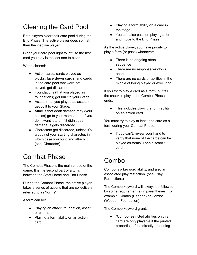## <span id="page-11-0"></span>Clearing the Card Pool

Both players clear their card pool during the End Phase. The active player does so first, then the inactive player.

Clear your card pool right to left, so the first card you play is the last one to clear.

When cleared:

- Action cards, cards played as blocks, **face down cards,** and cards in the card pool that were not played, get discarded.
- Foundations (that you played as foundations) get built to your Stage.
- Assets (that you played as assets) get built to your Stage.
- Attacks that dealt damage may (your choice) go to your momentum. If you don't want it to or if it didn't deal damage, it gets discarded.
- Characters get discarded, unless it's a copy of your starting character, in which case you build and attach it. (see: Character)

## <span id="page-11-1"></span>Combat Phase

The Combat Phase is the main phase of the game. It is the second part of a turn, between the Start Phase and End Phase.

During the Combat Phase, the active player takes a series of actions that are collectively referred to as "forms".

A form can be:

- Playing an attack, foundation, asset or character
- Playing a form ability on an action card
- Playing a form ability on a card in the stage
- You can also pass on playing a form, and move to the End Phase.

As the active player, you have priority to play a form (or pass) whenever:

- There is no ongoing attack sequence
- There are no response windows open
- There are no cards or abilities in the middle of being played or executing

If you try to play a card as a form, but fail the check to play it, the Combat Phase ends.

● This includes playing a form ability on an action card.

You must try to play at least one card as a form during your Combat Phase.

● If you can't, reveal your hand to verify that none of the cards can be played as forms. Then discard 1 card.

## <span id="page-11-2"></span>Combo

Combo is a keyword ability, and also an associated play restriction. (see: Play Restrictions)

The Combo keyword will always be followed by some requirement(s) in parentheses. For example, Combo (Ranged) or Combo (Weapon, Foundation).

The Combo keyword grants:

"Combo-restricted abilities on this card are only playable if the printed properties of the directly preceding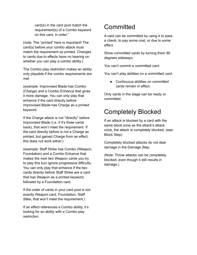card(s) in the card pool match the requirement(s) of a Combo keyword on this card, in order."

(note: The "printed" here is important! The card(s) before your combo attack must match the requirement as printed. Changes to cards due to effects have no bearing on whether you can play a combo ability.)

The Combo play restriction makes an ability only playable if the combo requirements are met.

(example: Improvised Blade has Combo (Charge) and a Combo Enhance that gives it more damage. You can only play that enhance if the card directly before Improvised Blade has Charge as a printed keyword.

If the Charge attack is not \*directly\* before Improvised Blade (i.e. if it's three cards back), that won't meet the requirement. If the card directly before is not a Charge as printed, but gained Charge from an effect, this does not work either.)

(example: Staff Strike has Combo (Weapon, Foundation) and a Combo Enhance that makes the next two Weapon cards you try to play this turn ignore progressive difficulty. You can only play that enhance if the two cards directly before Staff Strike are a card that has Weapon as a printed keyword, followed by a Foundation card.

If the order of cards in your card pool is not exactly Weapon card, Foundation, Staff Stike, that won't meet the requirement.)

If an effect references a Combo ability, it's looking for an ability with a Combo play restriction.

## <span id="page-12-0"></span>**Committed**

A card can be committed by using it to pass a check, to pay some cost, or due to some effect.

Show committed cards by turning them 90 degrees sideways.

You can't commit a committed card.

You can't play abilities on a committed card.

● Continuous abilities on committed cards remain in effect.

Only cards in the stage can be ready or committed.

#### <span id="page-12-1"></span>Completely Blocked

If an attack is blocked by a card with the same block zone as the attack's attack zone, the attack is completely blocked. (see: Block Step)

Completely blocked attacks do not deal damage in the Damage Step.

(Note: Throw attacks can be completely blocked, even though it still results in damage.)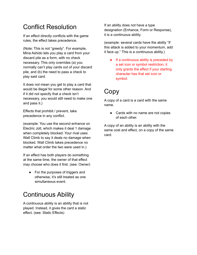## <span id="page-13-0"></span>Conflict Resolution

If an effect directly conflicts with the game rules, the effect takes precedence.

(Note: This is not "greedy". For example, Mina Ashido lets you play a card from your discard pile as a form, with no check necessary. This only overrides (a) you normally can't play cards out of your discard pile, and (b) the need to pass a check to play said card.

It does not mean you get to play a card that would be illegal for some other reason. And if it did not specify that a check isn't necessary, you would still need to make one and pass it.)

Effects that prohibit / prevent, take precedence in any conflict.

(example: You use the second enhance on Electric Jolt, which makes it deal 1 damage when completely blocked. Your rival uses Wall Climb to say it deals no damage when blocked. Wall Climb takes precedence no matter what order the two were used in.)

If an effect has both players do something at the same time, the owner of that effect may choose who does it first. (see: Owner)

● For the purposes of triggers and otherwise, it's still treated as one simultaneous event.

## <span id="page-13-1"></span>Continuous Ability

A continuous ability is an ability that is not played. Instead, it gives the card a static effect. (see: Static Effects)

If an ability does not have a type designation (Enhance, Form or Response), it is a continuous ability.

(example: several cards have the ability "If this attack is added to your momentum, add it face up." This is a continuous ability.)

● If a continuous ability is preceded by a set icon or symbol restriction, it only grants the effect if your starting character has that set icon or symbol.

## <span id="page-13-2"></span>Copy

A copy of a card is a card with the same name.

● Cards with no name are not copies of each other.

A copy of an ability is an ability with the same cost and effect, on a copy of the same card.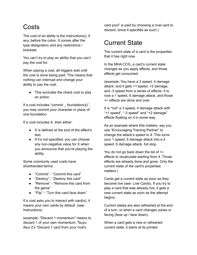#### <span id="page-14-0"></span>Costs

The cost of an ability is the instruction(s), if any, before the colon. It comes after the type designation and any restrictions / brackets.

You can't try to play an ability that you can't pay the cost for.

When paying a cost, all triggers wait until the cost is done being paid. This means that nothing can interrupt and change your ability to pay the cost.

• This excludes the check cost to play an action.

If a cost includes "commit foundation(s)", you may commit your character in place of one foundation.

If a cost includes X, then either:

- X is defined at the end of the effect's text.
- If it's not specified, you can choose any non-negative value for X when you announce that you're playing the ability.

Some commonly used costs have shorthanded terms:

- "Commit" "Commit this card"
- "Destroy" "Destroy this card"
- "Remove" "Remove this card from the game"
- "Flip" "Turn this card face down"

If a cost asks you to interact with card(s), it means your own cards by default. (see: Instructions)

(example: "Discard 1 momentum" means to discard 1 of your own momentum. Tsuyu Asui 2's "Discard 1 card from your rival's

card pool" is paid by choosing a rival card to discard, since it specifies as such.)

#### <span id="page-14-1"></span>Current State

The current state of a card is the properties that it has right now.

In the MHA CCG, a card's current state changes as you apply effects, and those effects get consumed.

(example: You have a 3 speed, 4 damage attack, and it gets +1 speed, +2 damage, and -3 speed from a series of effects. It is now a 1 speed, 6 damage attack, and those +/- effects are done and over.

It is \*not\* a 3 speed, 4 damage attack with "+1 speed", "-3 speed" and "+2 damage" effects floating on it in some way.

As an example where this matters, say you use "Encouraging Training Partner" to change the attack's speed to 4. This turns your 1 speed, 6 damage attack into a 4 speed, 6 damage attack, full stop.

You do not go back down the list of +/ effects to recalculate starting from 4. Those effects are already done and gone. Only the current state of the card's properties matters.)

Cards get a current state as soon as they become live (see: Live Cards). If you try to play a card that was already live, it gets a new current state as soon as the attempt begins.

Current states are also refreshed at the end of a turn, or when a card changes zones or facing (face up / face down).

When a card gets a new or refreshed current state, it starts at its printed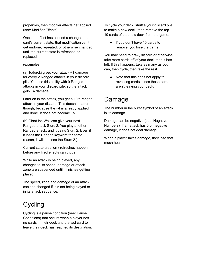properties, then modifier effects get applied (see: Modifier Effects).

Once an effect has applied a change to a card's current state, that modification can't get undone, repeated, or otherwise changed until the current state is refreshed or replaced.

#### (examples:

(a) Todoroki gives your attack +1 damage for every 2 Ranged attacks in your discard pile. You use this ability with 9 Ranged attacks in your discard pile, so the attack gets +4 damage.

Later on in the attack, you get a 10th ranged attack in your discard. This doesn't matter though, because the +4 is already applied and done. It does not become +5.

(b) Giant Ice Wall can give your next Ranged attack Stun: 2. You play another Ranged attack, and it gains Stun: 2. Even if it loses the Ranged keyword for some reason, it will not lose the Stun: 2.)

Current state creation / refreshes happen before any fired effects can trigger.

While an attack is being played, any changes to its speed, damage or attack zone are suspended until it finishes getting played.

The speed, zone and damage of an attack can't be changed if it is not being played or in its attack sequence.

#### <span id="page-15-0"></span>**Cycling**

Cycling is a pause condition (see: Pause Conditions) that occurs when a player has no cards in their deck and the last card to leave their deck has reached its destination. To cycle your deck, shuffle your discard pile to make a new deck, then remove the top 10 cards of that new deck from the game.

• If you don't have 10 cards to remove, you lose the game.

You may need to draw, discard or otherwise take more cards off of your deck than it has left. If this happens, take as many as you can, then cycle, then take the rest.

● Note that this does not apply to revealing cards, since those cards aren't leaving your deck.

#### <span id="page-15-1"></span>Damage

The number in the burst symbol of an attack is its damage.

Damage can be negative (see: Negative Numbers). If an attack has 0 or negative damage, it does not deal damage.

When a player takes damage, they lose that much health.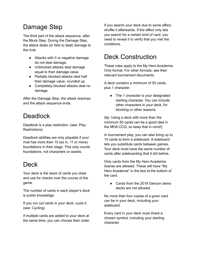## <span id="page-16-0"></span>Damage Step

The third part of the attack sequence, after the Block Step. During the Damage Step, the attack deals (or fails to deal) damage to the rival.

- Attacks with 0 or negative damage do not deal damage.
- Unblocked attacks deal damage equal to their damage value.
- Partially blocked attacks deal half their damage value, rounded up.
- Completely blocked attacks deal no damage.

After the Damage Step, the attack resolves and the attack sequence ends.

#### <span id="page-16-1"></span>**Deadlock**

Deadlock is a play restriction. (see: Play Restrictions)

Deadlock abilities are only playable if your rival has more than 10 (as in, 11 or more) foundations in their stage. This only counts foundations, not characters or assets.

#### <span id="page-16-2"></span>**Deck**

Your deck is the stack of cards you draw and use for checks over the course of the game.

The number of cards in each player's deck is public knowledge.

If you run out cards in your deck, cycle it. (see: Cycling)

If multiple cards are added to your deck at the same time, you can choose their order. If you search your deck due to some effect, shuffle it afterwards. If the effect only lets you search for a certain kind of card, you need to reveal it to verify that you met the conditions.

#### <span id="page-16-3"></span>Deck Construction

These rules apply to the My Hero Academia Only format. For other formats, see their relevant tournament documents.

A deck contains a minimum of 50 cards, plus 1 character.

• The 1 character is your designated starting character. You can include other characters in your deck, for blocking or other reasons.

(tip: Using a deck with more than the minimum 50 cards can be a good idea in the MHA CCG, so keep that in mind!)

In tournament play, you can also bring up to 10 cards to form a sideboard. A sideboard lets you substitute cards between games. Your deck must have the same number of cards after sideboarding that it did before.

Only cards from the My Hero Academia license are allowed. These will have "My Hero Academia" in the text at the bottom of the card.

• Cards from the 2019 Gencon demo decks are not allowed.

No more than four copies of a given card can be in your deck, including your sideboard.

Every card in your deck must share a chosen symbol, including your starting character.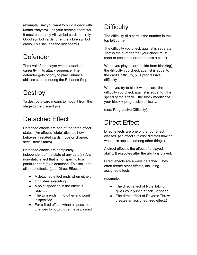(example: Say you want to build a deck with Momo Yaoyorozu as your starting character. It must be entirely All symbol cards, entirely Good symbol cards, or entirely Life symbol cards. This includes the sideboard.)

#### <span id="page-17-0"></span>Defender

The rival of the player whose attack is currently in its attack sequence. The defender gets priority to play Enhance abilities second during the Enhance Step.

#### <span id="page-17-1"></span>**Destroy**

To destroy a card means to move it from the stage to the discard pile.

#### <span id="page-17-2"></span>Detached Effect

Detached effects are one of the three effect states. (An effect's "state" dictates how it behaves if related cards move or change. see: Effect States)

Detached effects are completely independent of the state of any card(s). Any non-static effect that is not specific to a particular card(s) is detached. This includes all direct effects. (see: Direct Effects)

- A detached effect ends when either:
- It finishes executing
- A point specified in the effect is reached
- The turn ends (if no other end point is specified)
- For a fired effect, when all possible chances for it to trigger have passed

## <span id="page-17-3"></span>**Difficulty**

The difficulty of a card is the number in the top left corner.

The difficulty you check against is separate. That is the number that your check must meet or exceed in order to pass a check.

When you play a card (aside from blocking), the difficulty you check against is equal to the card's difficulty, plus progressive difficulty.

When you try to block with a card, the difficulty you check against is equal to: The speed of the attack + the block modifier of your block + progressive difficulty.

(see: Progressive Difficulty)

#### <span id="page-17-4"></span>Direct Effect

Direct effects are one of the four effect classes. (An effect's "class" dictates how or when it is applied, among other things)

A direct effect is the effect of a played ability. It executes after the ability is played.

Direct effects are always detached. They often create other effects, including assigned effects.

(example:

- The direct effect of Note Taking gives your punch attack +2 speed.
- The direct effect of Reverse Throw creates an assigned fired effect.)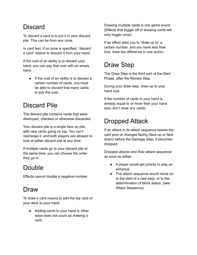## <span id="page-18-0"></span>**Discard**

To discard a card is to put it in your discard pile. This can be from any zone.

In card text, if no zone is specified, "discard a card" means to discard it from your hand.

If the cost of an ability is to discard your hand, you can pay that cost with an empty hand.

● If the cost of an ability is to discard a certain number of cards, you must be able to discard that many cards to pay the cost.

## <span id="page-18-1"></span>Discard Pile

The discard pile contains cards that were destroyed, checked or otherwise discarded.

Your discard pile is a single face up pile, with new cards going on top. You can't rearrange it, and both players are allowed to look at either discard pile at any time.

If multiple cards go to your discard pile at the same time, you can choose the order they go in.

## <span id="page-18-2"></span>Double

Effects cannot double a negative number.

#### <span id="page-18-3"></span>Draw

To draw a card means to add the top card of your deck to your hand.

● Adding cards to your hand in other ways does not count as drawing a card.

Drawing multiple cards is one game event. (Effects that trigger off of drawing cards will only trigger once)

If an effect asks you to "draw up to" a certain number, and you have less than that, draw the difference in one action.

## <span id="page-18-4"></span>Draw Step

The Draw Step is the third part of the Start Phase, after the Review Step.

During your draw step, draw up to your hand size.

If the number of cards in your hand is already equal to or more than your hand size, don't draw any cards.

## <span id="page-18-5"></span>Dropped Attack

If an attack in its attack sequence leaves the card pool or changes facing (face up or face down) before the Damage Step, it becomes dropped.

Dropped attacks end their attack sequence as soon as either:

- A player would get priority to play an enhance
- The attack sequence would move on to the start of a new step, or to the determination of block status. (see: Attack Sequence)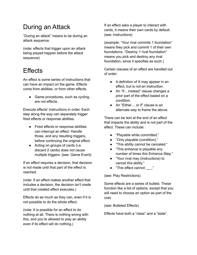## <span id="page-19-0"></span>During an Attack

"During an attack" means to be during an attack sequence.

(note: effects that trigger upon an attack being played happen before the attack sequence)

#### <span id="page-19-1"></span>**Effects**

An effect is some series of instructions that can have an impact on the game. Effects come from abilities, or from other effects.

• Game procedures, such as cycling, are not effects.

Execute effects' instructions in order. Each step along the way can separately trigger fired effects or response abilities.

- Fired effects or response abilities can interrupt an effect. Handle those, and any resulting triggers, before continuing the original effect.
- Acting on groups of cards (i.e. discard 2 cards) does not cause multiple triggers. (see: Game Event)

If an effect requires a decision, that decision is not made until that part of the effect is reached.

(note: If an effect makes another effect that includes a decision, the decision isn't made until that created effect executes.)

Effects do as much as they can, even if it is not possible to do the whole effect.

(note: It is possible for an effect to do nothing at all. There is nothing wrong with this, and you're allowed to play an ability even if its effect will do nothing.)

If an effect asks a player to interact with cards, it means their own cards by default. (see: Instructions)

(example: "Your rival commits 1 foundation" means they pick and commit 1 of their own foundations. "Destroy 1 rival foundation" means you pick and destroy any rival foundation, since it specifies as such.)

Certain clauses of an effect are handled out of order:

- A definition of X may appear in an effect, but is not an instruction.
- An "If... instead" clause changes a prior part of the effect based on a condition.
- An "Either… or if" clause is an alternate way to frame the above.

There can be text at the end of an effect that impacts the ability and is not part of the effect. These can include:

- "Playable while committed."
- "Only playable (condition)."
- "This ability cannot be canceled."
- "This enhance is playable any number of times this Enhance Step."
- "Your rival may (instructions) to cancel this ability."
- "This effect cannot \_\_\_."

(see: Play Restrictions)

Some effects are a series of bullets. These function like a list of options, except that you will need to choose an option as part of the cost.

(see: Bulleted Effects)

Effects have both a "class" and a "state".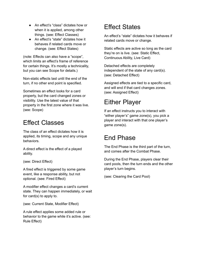- An effect's "class" dictates how or when it is applied, among other things. (see: Effect Classes)
- An effect's "state" dictates how it behaves if related cards move or change. (see: Effect States)

(note: Effects can also have a "scope", which limits an effect's frame of reference for certain things. It's mostly a technicality, but you can see Scope for details.)

Non-static effects last until the end of the turn, if no other end point is specified.

Sometimes an effect looks for a card property, but the card changed zones or visibility. Use the latest value of that property in the first zone where it was live. (see: Scope)

#### <span id="page-20-0"></span>Effect Classes

The class of an effect dictates how it is applied, its timing, scope and any unique behaviors.

A direct effect is the effect of a played ability.

(see: Direct Effect)

A fired effect is triggered by some game event, like a response ability, but not optional. (see: Fired Effect)

A modifier effect changes a card's current state. They can happen immediately, or wait for card(s) to apply to.

(see: Current State, Modifier Effect)

A rule effect applies some added rule or behavior to the game while it's active. (see: Rule Effect)

## <span id="page-20-1"></span>Effect States

An effect's "state" dictates how it behaves if related cards move or change.

Static effects are active so long as the card they're on is live. (see: Static Effect, Continuous Ability, Live Card)

Detached effects are completely independent of the state of any card(s). (see: Detached Effect)

Assigned effects are tied to a specific card, and will end if that card changes zones. (see: Assigned Effect)

## <span id="page-20-2"></span>Either Player

If an effect instructs you to interact with "either player's" game zone(s), you pick a player and interact with that one player's game zone(s).

#### <span id="page-20-3"></span>End Phase

The End Phase is the third part of the turn, and comes after the Combat Phase.

During the End Phase, players clear their card pools, then the turn ends and the other player's turn begins.

(see: Clearing the Card Pool)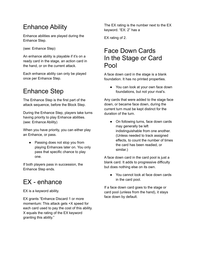## <span id="page-21-0"></span>Enhance Ability

Enhance abilities are played during the Enhance Step.

(see: Enhance Step)

An enhance ability is playable if it's on a ready card in the stage, an action card in the hand, or on the current attack.

Each enhance ability can only be played once per Enhance Step.

## <span id="page-21-1"></span>Enhance Step

The Enhance Step is the first part of the attack sequence, before the Block Step.

During the Enhance Step, players take turns having priority to play Enhance abilities. (see: Enhance Ability)

When you have priority, you can either play an Enhance, or pass.

• Passing does not stop you from playing Enhances later on. You only pass that specific chance to play one.

If both players pass in succession, the Enhance Step ends.

## <span id="page-21-2"></span>EX - enhance

EX is a keyword ability.

EX grants "Enhance Discard 1 or more momentum: This attack gets +X speed for each card used to pay the cost of this ability. X equals the rating of the EX keyword granting this ability."

The EX rating is the number next to the EX keyword. "EX: 2" has a

EX rating of 2.

#### Face Down Cards In the Stage or Card Pool

<span id="page-21-3"></span>A face down card in the stage is a blank foundation. It has no printed properties.

● You can look at your own face down foundations, but not your rival's.

Any cards that were added to the stage face down, or became face down, during the current turn must be kept distinct for the duration of the turn.

• On following turns, face down cards may generally be left indistinguishable from one another. (Unless needed to track assigned effects, to count the number of times the card has been readied, or similar.)

A face down card in the card pool is just a blank card. It adds to progressive difficulty but does nothing else on its own.

● You cannot look at face down cards in the card pool.

If a face down card goes to the stage or card pool (unless from the hand), it stays face down by default.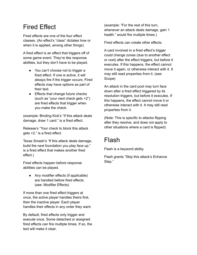#### <span id="page-22-0"></span>Fired Effect

Fired effects are one of the four effect classes. (An effect's "class" dictates how or when it is applied, among other things)

A fired effect is an effect that triggers off of some game event. They're like response abilities, but they don't have to be played.

- You can't choose not to trigger a fired effect. If one is active, it will always fire if the trigger occurs. Fired effects may have options as part of their text.
- Effects that change future checks (such as "your next check gets +2") are fired effects that trigger when you make the check.

(example: Binding Kick's "If this attack deals damage, draw 1 card." is a fired effect.

Release's "Your check to block this attack gets +2." is a fired effect.

Texas Smash's "If this attack deals damage, build the next foundation you play face up." is a fired effect that makes another fired effect.)

Fired effects happen before response abilities can be played.

• Any modifier effects (if applicable) are handled before fired effects. (see: Modifier Effects)

If more than one fired effect triggers at once, the active player handles theirs first, then the inactive player. Each player handles their effects in any order they want.

By default, fired effects only trigger and execute once. Some detached or assigned fired effects can fire multiple times. If so, the text will make it clear.

(example: "For the rest of this turn, whenever an attack deals damage, gain 1 health." would fire multiple times.)

Fired effects can create other effects.

A card involved in a fired effect's trigger could change zones (due to another effect or cost) after the effect triggers, but before it executes. If this happens, the effect cannot move it again, or otherwise interact with it. It may still read properties from it. (see: Scope)

An attack in the card pool may turn face down after a fired effect triggered by its resolution triggers, but before it executes. If this happens, the effect cannot move it or otherwise interact with it. It may still read properties from it.

(Note: This is specific to attacks flipping after they resolve, and does not apply to other situations where a card is flipped)

## <span id="page-22-1"></span>Flash

Flash is a keyword ability.

Flash grants "Skip this attack's Enhance Step."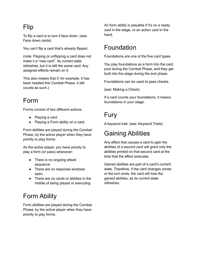## <span id="page-23-0"></span>Flip

To flip a card is to turn it face down. (see: Face down cards)

You can't flip a card that's already flipped.

(note: Flipping or unflipping a card does not make it a "new card". Its current state refreshes, but it is still the same card. Any assigned effects remain on it.

This also means that if, for example, it has been readied this Combat Phase, it still counts as such.)

#### <span id="page-23-1"></span>Form

Forms consist of two different actions.

- Playing a card
- Playing a Form ability on a card.

Form abilities are played during the Combat Phase, by the active player when they have priority to play forms.

As the active player, you have priority to play a form (or pass) whenever:

- There is no ongoing attack sequence
- There are no response windows open
- There are no cards or abilities in the middle of being played or executing

## <span id="page-23-2"></span>Form Ability

Form abilities are played during the Combat Phase, by the active player when they have priority to play forms.

An form ability is playable if it's on a ready card in the stage, or an action card in the hand.

#### <span id="page-23-3"></span>Foundation

Foundations are one of the five card types.

You play foundations as a form into the card pool during the Combat Phase, and they get built into the stage during the end phase.

Foundations can be used to pass checks.

(see: Making a Check)

If a card counts your foundations, it means foundations in your stage.

#### <span id="page-23-4"></span>Fury

A keyword trait. (see: Keyword Traits)

#### <span id="page-23-5"></span>Gaining Abilities

Any effect that causes a card to gain the abilities of a second card will grant only the abilities printed on that second card at the time that the effect executes.

Gained abilities are part of a card's current state. Therefore, if the card changes zones or the turn ends, the card will lose the gained abilities, as its current state refreshes.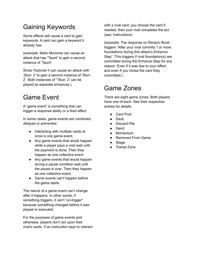## <span id="page-24-0"></span>Gaining Keywords

Some effects will cause a card to gain keywords. A card can gain a keyword it already has.

(example: Neito Monoma can cause an attack that has "Taunt" to gain a second instance of 'Taunt".

Shoto Todoroki II can cause an attack with 'Stun: 2' to gain a second instance of 'Stun: 2'. Both instances of "'Stun: 2' can be played as separate enhances.)

#### <span id="page-24-1"></span>Game Event

A "game event" is something that can trigger a response ability or a fired effect.

In some cases, game events are combined, delayed or prevented:

- Interacting with multiple cards at once is one game event.
- Any game events that would happen while a player pays a cost wait until the payment is done. Then they happen as one collective event.
- Any game events that would happen during a pause condition wait until the pause is over. Then they happen as one collective event.
- Game events can't happen before the game starts.

The nature of a game event can't change after it happens. In other words, if something triggers, it can't "un-trigger" because something changed before it was played or executed.

For the purposes of game events and otherwise, players don't act upon their rival's cards. If an instruction says to interact with a rival card, you choose the card if needed, then your rival completes the act. (see: Instructions)

(example: The response on Recipro Burst triggers "After your rival commits 1 or more foundations during this attack's Enhance Step". This triggers if rival foundation(s) are committed during the Enhance Step for any reason. Even if it was due to your effect, and even if you chose the card they committed.)

#### <span id="page-24-2"></span>Game Zones

There are eight game zones. Both players have one of each. See their respective entries for details.

- Card Pool
- Deck
- Discard Pile
- **Hand**
- Momentum
- **Removed From Game**
- Stage
- **Transit Zone**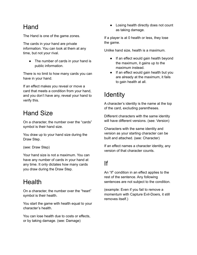#### <span id="page-25-0"></span>Hand

The Hand is one of the game zones.

The cards in your hand are private information. You can look at them at any time, but not your rival.

• The number of cards in your hand is public information.

There is no limit to how many cards you can have in your hand.

If an effect makes you reveal or move a card that meets a condition from your hand, and you don't have any, reveal your hand to verify this.

#### <span id="page-25-1"></span>Hand Size

On a character, the number over the "cards" symbol is their hand size.

You draw up to your hand size during the Draw Step.

(see: Draw Step)

Your hand size is not a maximum. You can have any number of cards in your hand at any time. It only dictates how many cards you draw during the Draw Step.

## <span id="page-25-2"></span>Health

On a character, the number over the "heart" symbol is their health.

You start the game with health equal to your character's health.

You can lose health due to costs or effects, or by taking damage. (see: Damage)

● Losing health directly does not count as taking damage.

If a player is at 0 health or less, they lose the game.

Unlike hand size, health is a maximum.

- If an effect would gain health beyond the maximum, it gains up to the maximum instead.
- If an effect would gain health but you are already at the maximum, it fails to gain health at all.

## <span id="page-25-3"></span>**Identity**

A character's identity is the name at the top of the card, excluding parentheses.

Different characters with the same identity will have different versions. (see: Version)

Characters with the same identity and version as your starting character can be built and attached. (see: Character)

If an effect names a character identity, any version of that character counts.

#### <span id="page-25-4"></span>If

An "if" condition in an effect applies to the rest of the sentence. Any following sentences are not subject to the condition.

(example: Even if you fail to remove a momentum with Capture Evil-Doers, it still removes itself.)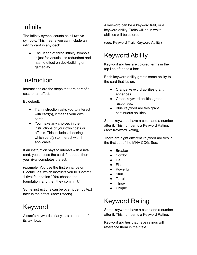## <span id="page-26-0"></span>Infinity

The infinity symbol counts as all twelve symbols. This means you can include an infinity card in any deck.

• The usage of three infinity symbols is just for visuals. It's redundant and has no effect on deckbuilding or gameplay.

#### <span id="page-26-1"></span>**Instruction**

Instructions are the steps that are part of a cost, or an effect.

By default,

- If an instruction asks you to interact with card(s), it means your own cards.
- You make any choices in the instructions of your own costs or effects. This includes choosing which card(s) to interact with if applicable.

If an instruction says to interact with a rival card, you choose the card if needed, then your rival completes the act.

(example: You use the first enhance on Electric Jolt, which instructs you to "Commit 1 rival foundation." You choose the foundation, and then they commit it.)

Some instructions can be overridden by text later in the effect. (see: Effects)

#### <span id="page-26-2"></span>Keyword

A card's keywords, if any, are at the top of its text box.

A keyword can be a keyword trait, or a keyword ability. Traits will be in white, abilities will be colored.

(see: Keyword Trait, Keyword Ability)

## <span id="page-26-3"></span>Keyword Ability

Keyword abilities are colored terms in the top line of the text box.

Each keyword ability grants some ability to the card that it's on.

- Orange keyword abilities grant enhances.
- Green keyword abilities grant responses.
- Blue keyword abilities grant continuous abilities.

Some keywords have a colon and a number after it. This number is a Keyword Rating. (see: Keyword Rating)

There are eight different keyword abilities in the first set of the MHA CCG. See:

- **Breaker**
- Combo
- $\bullet$  EX
- Flash
- Powerful
- **Stun**
- Terrain
- Throw
- Unique

## <span id="page-26-4"></span>Keyword Rating

Some keywords have a colon and a number after it. This number is a Keyword Rating.

Keyword abilities that have ratings will reference them in their text.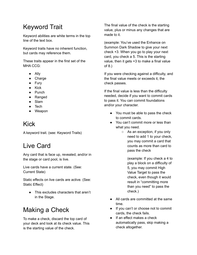## <span id="page-27-0"></span>Keyword Trait

Keyword abilities are white terms in the top line of the text box.

Keyword traits have no inherent function, but cards may reference them.

These traits appear in the first set of the MHA CCG:

- Ally
- Charge
- Fury
- Kick
- Punch
- Ranged
- Slam
- Tech
- Weapon

## <span id="page-27-1"></span>Kick

A keyword trait. (see: Keyword Traits)

## <span id="page-27-2"></span>Live Card

Any card that is face up, revealed, and/or in the stage or card pool, is live.

Live cards have a current state. (See: Current State)

Static effects on live cards are active. (See: Static Effect)

● This excludes characters that aren't in the Stage.

#### <span id="page-27-3"></span>Making a Check

To make a check, discard the top card of your deck and look at its check value. This is the starting value of the check.

The final value of the check is the starting value, plus or minus any changes that are made to it.

(example: You've used the Enhance on Summon Dark Shadow to give your next check +3. When you go to play your next card, you check a 5. This is the starting value, then it gets +3 to make a final value of 8.)

If you were checking against a difficulty, and the final value meets or exceeds it, the check passes.

If the final value is less than the difficulty needed, decide if you want to commit cards to pass it. You can commit foundations and/or your character.

- You must be able to pass the check to commit cards.
- You can't commit more or less than what you need.
	- As an exception, if you only need to add 1 to your check, you may commit a card that counts as more than card to pass the check

(example: If you check a 4 to play a block on a difficulty of 5, you may commit High Value Target to pass the check, even though it would result in "committing more than you need" to pass the check.)

- All cards are committed at the same time.
- If you can't or choose not to commit cards, the check fails.
- If an effect makes a check automatically pass, skip making a check altogether.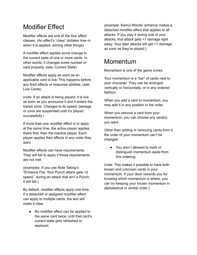## <span id="page-28-0"></span>Modifier Effect

Modifier effects are one of the four effect classes. (An effect's "class" dictates how or when it is applied, among other things)

A modifier effect applies some change to the current state of one or more cards. In other words, it changes some number or card property. (see: Current State)

Modifier effects apply as soon as an applicable card is live. This happens before any fired effects or response abilities. (see: Live Cards)

(note: If an attack is being played, it is live as soon as you announce it and it enters the transit zone. Changes to its speed, damage or zone are suspended until it's played successfully.)

If more than one modifier effect is to apply at the same time, the active player applies theirs first, then the inactive player. Each player applies their effects in any order they want.

Modifier effects can have requirements. They will fail to apply if those requirements are not met.

(examples: If you use Note Taking's "Enhance Flip: Your Punch attack gets +2 speed." during an attack that isn't a Punch, it will fail.)

By default, modifier effects apply one time. If a detached or assigned modifier effect can apply to multiple cards, the text will make it clear.

● No modifier effect can be applied to the same card twice, until that card's current state gets refreshed or replaced.

(example: Kamui Woods' enhance makes a detached modifier effect that applies to all attacks. If you play it during one of your attacks, that attack gets +1 damage right away. Your later attacks will get +1 damage as soon as they're played.)

#### <span id="page-28-1"></span>Momentum

Momentum is one of the game zones.

Your momentum is a "bar" of cards next to your character. They can be arranged vertically or horizontally, or in any ordered fashion.

When you add a card to momentum, you may add it in any position in the order.

When you remove a card from your momentum, you can choose any card(s) you want.

Other than adding or removing cards from it, the order of your momentum can't be changed.

● You aren't allowed to mark or distinguish momentum aside from this ordering.

(note: This makes it possible to have both known and unknown cards in your momentum. If your deck rewards you for knowing which momentum is where, you can try keeping your known momentum in alphabetical or similar order.)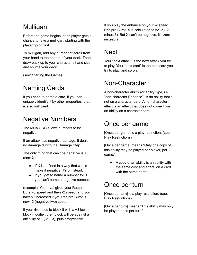#### <span id="page-29-0"></span>Mulligan

Before the game begins, each player gets a chance to take a mulligan, starting with the player going first.

To mulligan, add any number of cards from your hand to the bottom of your deck. Then draw back up to your character's hand size, and shuffle your deck.

(see: Starting the Game)

## <span id="page-29-1"></span>Naming Cards

If you need to name a card, if you can uniquely identify it by other properties, that is also sufficient.

#### <span id="page-29-2"></span>Negative Numbers

The MHA CCG allows numbers to be negative.

If an attack has negative damage, it deals no damage during the Damage Step.

The only thing that can't be negative is X. (see: X)

- $\bullet$  If X is defined in a way that would make it negative, it's 0 instead.
- $\bullet$  If you get to name a number for X, you can't name a negative number.

(example: Your rival gives your Recipro Burst -3 speed and then -2 speed, and you haven't increased it yet. Recipro Burst is now -2 (negative two) speed.

If your rival tries to block it with a +3 low block modifier, their block will be against a difficulty of 1  $(-2 + 3)$ , plus progressive.

If you play the enhance on your -2 speed Recipro Burst, X is calculated to be -5 (-2 minus 3). But X can't be negative, it's zero instead.)

#### <span id="page-29-3"></span>**Next**

Your "next attack" is the next attack you try to play. Your "next card" is the next card you try to play, and so on.

#### <span id="page-29-4"></span>Non-Character

A non-character ability (or ability type, i.e. "non-character Enhance") is an ability that's not on a character card. A non-character effect is an effect that does not come from an ability on a character card.

#### <span id="page-29-5"></span>Once per game

[Once per game] is a play restriction. (see: Play Restrictions)

[Once per game] means "Only one copy of this ability may be played per player, per game."

● A copy of an ability is an ability with the same cost and effect, on a card with the same name.

#### <span id="page-29-6"></span>Once per turn

[Once per turn] is a play restriction. (see: Play Restrictions)

[Once per turn] means "This ability may only be played once per turn."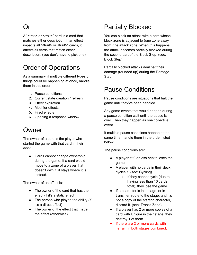#### <span id="page-30-0"></span>Or

A "<trait> or <trait>" card is a card that matches either description. If an effect impacts all "<trait> or <trait>" cards, it affects all cards that match either description. (you don't have to pick one)

#### <span id="page-30-1"></span>Order of Operations

As a summary, if multiple different types of things could be happening at once, handle them in this order:

- 1. Pause conditions
- 2. Current state creation / refresh
- 3. Effect expiration
- 4. Modifier effects
- 5. Fired effects
- 6. Opening a response window

#### <span id="page-30-2"></span>Owner

The owner of a card is the player who started the game with that card in their deck.

● Cards cannot change ownership during the game. If a card would move to a zone of a player that doesn't own it, it stays where it is instead.

The owner of an effect is:

- The owner of the card that has the effect (if it's a static effect)
- The person who played the ability (if it's a direct effect)
- The owner of the effect that made the effect (otherwise).

#### <span id="page-30-3"></span>Partially Blocked

You can block an attack with a card whose block zone is adjacent to (one zone away from) the attack zone. When this happens, the attack becomes partially blocked during the second part of the Block Step. (see: Block Step)

Partially blocked attacks deal half their damage (rounded up) during the Damage Step.

#### <span id="page-30-4"></span>Pause Conditions

Pause conditions are situations that halt the game until they've been handled.

Any game events that would happen during a pause condition wait until the pause is over. Then they happen as one collective event.

If multiple pause conditions happen at the same time, handle them in the order listed below.

The pause conditions are:

- A player at 0 or less health loses the game.
- A player with no cards in their deck cycles it. (see: Cycling)
	- If they cannot cycle (due to having less than 10 cards total), they lose the game
- If a character is in a stage, or in transit en route to the stage, and it's not a copy of the starting character, discard it. (see: Transit Zone)
- If a player has 2 or more copies of a card with Unique in their stage, they destroy 1 of them.
- If there are 2 or more cards with Terrain in both stages combined,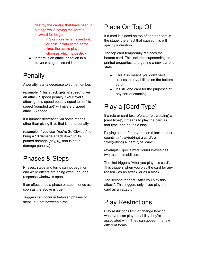destroy the card(s) that have been in a stage while having the Terrain keyword for longer.

- If 2 or more terrains are built or gain Terrain at the same time, the active player chooses which to destroy.
- If there is an attack or action in a player's stage, discard it.

#### <span id="page-31-0"></span>**Penalty**

A penalty is a -# decrease to some number.

(example: "This attack gets -2 speed" gives an attack a speed penalty. "Your rival's attack gets a speed penalty equal to half its speed (rounded up)" will give a 5 speed attack -3 speed.)

If a number decreased via some means other than giving it -#, that is not a penalty.

(example: If you use "You're So Obvious" to bring a 10 damage attack down to its printed damage (say, 6), that is not a damage penalty.)

#### <span id="page-31-1"></span>Phases & Steps

Phases, steps and turns cannot begin or end while effects are being executed, or a response window is open.

If an effect ends a phase or step, it ends as soon as the above is true.

Triggers can occur in between phases or steps, but not between turns.

#### <span id="page-31-2"></span>Place On Top Of

If a card is placed on top of another card in the stage, the effect that caused this will specify a duration.

The top card temporarily replaces the bottom card. This includes superseding its printed properties, and getting a new current state.

- This also means you don't have access to any abilities on the bottom card.
- It's still one card for the purposes of any sort of counting.

## <span id="page-31-3"></span>Play a [Card Type]

If a rule or card text refers to "play(ed/ing) a [card type]", it means to play the card as that type, and not as a block.

Playing a card for any reason (block or not) counts as "play(ed/ing) a card", or "play(ed/ing) a [card type] card".

(example: Specialized Sound Waves has two response abilities.

The first triggers "After you play this card". This triggers when you play the card for any reason - as an attack, or as a block.

The second triggers "After you play this attack". This triggers only if you play the card as an attack. )

#### <span id="page-31-4"></span>Play Restrictions

Play restrictions limit or change how or when you can play the ability they're associated with. They can appear in a few different forms.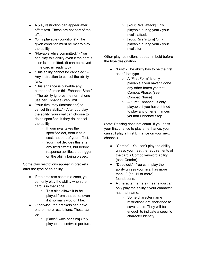- A play restriction can appear after effect text. These are not part of the effect.
- "Only playable (condition)" The given condition must be met to play the ability.
- "Playable while committed." You can play this ability even if the card it is on is committed. (It can be played if the card is ready too)
- "This ability cannot be canceled." Any instruction to cancel the ability fails.
- "This enhance is playable any number of times this Enhance Step." - The ability ignores the normal one use per Enhance Step limit.
- "Your rival may (instructions) to cancel this ability." - After you play the ability, your rival can choose to do as specified. If they do, cancel the ability.
	- If your rival takes the specified act, treat it as a cost, not part of your effect.
	- Your rival decides this after any fired effects, but before response abilities that trigger on the ability being played.

Some play restrictions appear in brackets after the type of an ability.

- If the brackets contain a zone, you can only play the ability when the card is in that zone.
	- This also allows it to be played from that zone, even if it normally wouldn't be.
- Otherwise, the brackets can have one or more restrictions. These can be:
	- [Once/Twice per turn] Only playable once/twice per turn.
- [Your/Rival attack] Only playable during your / your rival's attack.
- [Your/Rival's turn] Only playable during your / your rival's turn.

Other play restrictions appear in bold before the type designation.

- "First" The ability has to be the first act of that type.
	- A "First Form" is only playable if you haven't done any other forms yet that Combat Phase. (see: Combat Phase)
	- A "First Enhance" is only playable if you haven't tried to play any other enhances yet that Enhance Step.

(note: Passing does not count. If you pass your first chance to play an enhance, you can still play a First Enhance on your next chance.)

- "Combo" You can't play the ability unless you meet the requirements of the card's Combo keyword ability. (see: Combo)
- "Deadlock" You can't play the ability unless your rival has more than 10 (so, 11 or more) foundations.
- A character name(s) means you can only play the ability if your character has that name.
	- Some character name restrictions are shortened to save space. They will be enough to indicate a specific character identity.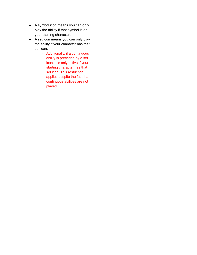- A symbol icon means you can only play the ability if that symbol is on your starting character.
- A set icon means you can only play the ability if your character has that set icon.
	- Additionally, if a continuous ability is preceded by a set icon, it is only active if your starting character has that set icon. This restriction applies despite the fact that continuous abilities are not played.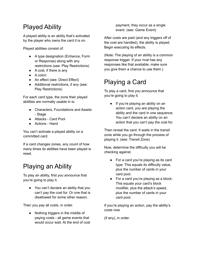## <span id="page-34-0"></span>Played Ability

A played ability is an ability that's activated by the player who owns the card it is on.

Played abilities consist of:

- A type designation (Enhance, Form or Response) along with any restrictions (see: Play Restrictions)
- A cost, if there is any
- A colon
- An effect (see: Direct Effect)
- Additional restrictions, if any (see: Play Restrictions)

For each card type, the zone their played abilities are normally usable in is:

- Characters, Foundations and Assets - Stage
- Attacks Card Pool
- Actions Hand

You can't activate a played ability on a committed card.

If a card changes zones, any count of how many times its abilities have been played is reset.

#### <span id="page-34-1"></span>Playing an Ability

To play an ability, first you announce that you're going to play it.

● You can't declare an ability that you can't pay the cost for. Or one that is disallowed for some other reason.

Then you pay all costs, in order.

● Nothing triggers in the middle of paying costs - all game events that would occur wait. At the end of cost

payment, they occur as a single event. (see: Game Event)

After costs are paid (and any triggers off of the cost are handled), the ability is played. Begin executing its effects.

(Note: The playing of an ability is a common response trigger. If your rival has any responses like that available, make sure you give them a chance to use them.)

## <span id="page-34-2"></span>Playing a Card

To play a card, first you announce that you're going to play it.

• If you're playing an ability on an action card, you are playing the ability and the card in one sequence. You can't declare an ability on an action that you can't pay the cost for.

Then reveal the card. It waits in the transit zone while you go through the process of playing it. (see: Transit Zone)

Now, determine the difficulty you will be checking against.

- For a card you're playing as its card type: This equals its difficulty value, plus the number of cards in your card pool.
- For a card you're playing as a block: This equals your card's block modifier, plus the attack's speed, plus the number of cards in your card pool.

If you're playing an action, pay the ability's costs now

(if any), in order.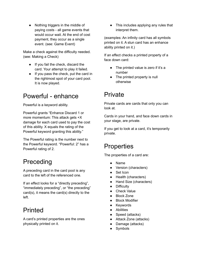• Nothing triggers in the middle of paying costs - all game events that would occur wait. At the end of cost payment, they occur as a single event. (see: Game Event)

Make a check against the difficulty needed. (see: Making a Check)

- If you fail the check, discard the card. Your attempt to play it failed.
- If you pass the check, put the card in the rightmost spot of your card pool. It is now played.

#### <span id="page-35-0"></span>Powerful - enhance

Powerful is a keyword ability.

Powerful grants "Enhance Discard 1 or more momentum: This attack gets +X damage for each card used to pay the cost of this ability. X equals the rating of the Powerful keyword granting this ability."

The Powerful rating is the number next to the Powerful keyword. "Powerful: 2" has a Powerful rating of 2.

#### <span id="page-35-1"></span>Preceding

A preceding card in the card pool is any card to the left of the referenced one.

If an effect looks for a "directly preceding", "immediately preceding", or "the preceding" card(s), it means the card(s) directly to the left.

#### <span id="page-35-2"></span>**Printed**

A card's printed properties are the ones physically printed on it.

● This includes applying any rules that interpret them.

(examples: An infinity card has all symbols printed on it. A stun card has an enhance ability printed on it.)

If an effect checks a printed property of a face down card:

- The printed value is zero if it's a number
- The printed property is null otherwise

#### <span id="page-35-3"></span>Private

Private cards are cards that only you can look at.

Cards in your hand, and face down cards in your stage, are private.

If you get to look at a card, it's temporarily private.

#### <span id="page-35-4"></span>**Properties**

The properties of a card are:

- **Name**
- Version (characters)
- Set Icon
- Health (characters)
- Hand Size (characters)
- Difficultv
- **Check Value**
- Block Zone
- **Block Modifier**
- Keywords
- **Abilities**
- Speed (attacks)
- Attack Zone (attacks)
- Damage (attacks)
- Symbols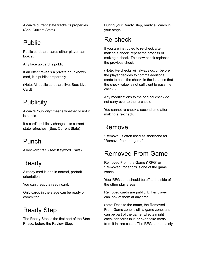A card's current state tracks its properties. (See: Current State)

#### <span id="page-36-0"></span>Public

Public cards are cards either player can look at.

Any face up card is public.

If an effect reveals a private or unknown card, it is public temporarily.

(Note: All public cards are live. See: Live Card)

## <span id="page-36-1"></span>**Publicity**

A card's "publicity" means whether or not it is public.

If a card's publicity changes, its current state refreshes. (See: Current State)

## <span id="page-36-2"></span>Punch

A keyword trait. (see: Keyword Traits)

## <span id="page-36-3"></span>Ready

A ready card is one in normal, portrait orientation.

You can't ready a ready card.

Only cards in the stage can be ready or committed.

## <span id="page-36-4"></span>Ready Step

The Ready Step is the first part of the Start Phase, before the Review Step.

During your Ready Step, ready all cards in your stage.

#### <span id="page-36-5"></span>Re-check

If you are instructed to re-check after making a check, repeat the process of making a check. This new check replaces the previous check.

(Note: Re-checks will always occur before the player decides to commit additional cards to pass the check, in the instance that the check value is not sufficient to pass the check.)

Any modifications to the original check do not carry over to the re-check.

You cannot re-check a second time after making a re-check.

#### <span id="page-36-6"></span>Remove

"Remove" is often used as shorthand for "Remove from the game".

#### <span id="page-36-7"></span>Removed From Game

Removed From the Game ("RFG" or "Removed" for short) is one of the game zones.

Your RFG zone should be off to the side of the other play areas.

Removed cards are public. Either player can look at them at any time.

(note: Despite the name, the Removed From Game zone is still a game zone, and can be part of the game. Effects might check for cards in it, or even take cards from it in rare cases. The RFG name mainly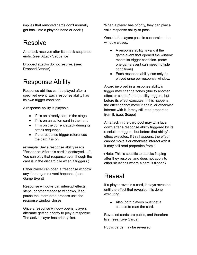implies that removed cards don't normally get back into a player's hand or deck.)

#### <span id="page-37-0"></span>Resolve

An attack resolves after its attack sequence ends. (see: Attack Sequence)

Dropped attacks do not resolve. (see: Dropped Attacks)

#### <span id="page-37-1"></span>Response Ability

Response abilities can be played after a specified event. Each response ability has its own trigger condition.

A response ability is playable:

- If it's on a ready card in the stage
- If it's on an action card in the hand
- If it's on the current attack during its attack sequence
- If the response trigger references the card it is on

(example: Say a response ability reads "Response: After this card is destroyed, …". You can play that response even though the card is in the discard pile when it triggers.)

Either player can open a "response window" any time a game event happens. (see: Game Event)

Response windows can interrupt effects, steps, or other response windows. If so, pause the interrupted process until the response window closes.

Once a response window opens, players alternate getting priority to play a response. The active player has priority first.

When a player has priority, they can play a valid response ability or pass.

Once both players pass in succession, the window closes.

- $\bullet$  A response ability is valid if the game event that opened the window meets its trigger condition. (note: one game event can meet multiple conditions)
- Each response ability can only be played once per response window.

A card involved in a response ability's trigger may change zones (due to another effect or cost) after the ability triggers, but before its effect executes. If this happens, the effect cannot move it again, or otherwise interact with it. It may still read properties from it. (see: Scope)

An attack in the card pool may turn face down after a response ability triggered by its resolution triggers, but before that ability's effect executes. If this happens, the effect cannot move it or otherwise interact with it. It may still read properties from it.

(Note: This is specific to attacks flipping after they resolve, and does not apply to other situations where a card is flipped)

#### <span id="page-37-2"></span>Reveal

If a player reveals a card, it stays revealed until the effect that revealed it is done executing.

● Also, both players must get a chance to read the card.

Revealed cards are public, and therefore live. (see: Live Cards)

Public cards may be revealed.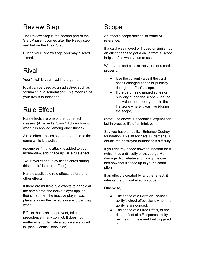#### <span id="page-38-0"></span>Review Step

The Review Step is the second part of the Start Phase. It comes after the Ready step and before the Draw Step.

During your Review Step, you may discard 1 card.

#### <span id="page-38-1"></span>Rival

Your "rival" is your rival in the game.

Rival can be used as an adjective, such as "commit 1 rival foundation". This means 1 of your rival's foundations.

#### <span id="page-38-2"></span>Rule Effect

Rule effects are one of the four effect classes. (An effect's "class" dictates how or when it is applied, among other things)

A rule effect applies some added rule to the game while it is active.

(examples: "If this attack is added to your momentum, add it face up." is a rule effect.

"Your rival cannot play action cards during this attack." is a rule effect.)

Handle applicable rule effects before any other effects.

If there are multiple rule effects to handle at the same time, the active player applies theirs first, then the inactive player. Each player applies their effects in any order they want.

Effects that prohibit / prevent, take precedence in any conflict. It does not matter what order rule effects were applied in. (see: Conflict Resolution)

## <span id="page-38-3"></span>Scope

An effect's scope defines its frame of reference.

If a card was moved or flipped or similar, but an effect needs to get a value from it, scope helps define what value to use.

When an effect checks the value of a card property:

- Use the current value if the card hasn't changed zones or publicity during the effect's scope.
- If the card has changed zones or publicity during the scope - use the last value the property had, in the first zone where it was live (during the scope).

(note: The above is a technical explanation, but in practice it's often intuitive.

Say you have an ability "Enhance Destroy 1 foundation: This attack gets +X damage. X equals the destroyed foundation's difficulty."

If you destroy a face down foundation for it (which has a difficulty of 0), you get +0 damage. Not whatever difficulty the card has now that it's face up in your discard pile.)

If an effect is created by another effect, it inherits the original effect's scope.

Otherwise,

- The scope of a Form or Enhance ability's direct effect starts when the ability is announced.
- The scope of a Fired Effect, or the direct effect of a Response ability, begins with the event that triggered it.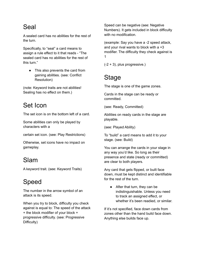#### <span id="page-39-0"></span>Seal

A sealed card has no abilities for the rest of the turn.

Specifically, to "seal" a card means to assign a rule effect to it that reads - "The sealed card has no abilities for the rest of this turn."

• This also prevents the card from gaining abilities. (see: Conflict Resolution)

(note: Keyword traits are not abilities! Sealing has no effect on them.)

## <span id="page-39-1"></span>Set Icon

The set icon is on the bottom left of a card.

Some abilities can only be played by characters with a

certain set icon. (see: Play Restrictions)

Otherwise, set icons have no impact on gameplay.

#### <span id="page-39-2"></span>Slam

A keyword trait. (see: Keyword Traits)

## <span id="page-39-3"></span>Speed

The number in the arrow symbol of an attack is its speed.

When you try to block, difficulty you check against is equal to: The speed of the attack + the block modifier of your block + progressive difficulty. (see: Progressive Difficulty)

Speed can be negative (see: Negative Numbers). It gets included in block difficulty with no modification.

(example: Say you have a -2 speed attack, and your rival wants to block with a +3 modifier. The difficulty they check against is 1

 $(-2 + 3)$ , plus progressive.)

## <span id="page-39-4"></span>Stage

The stage is one of the game zones.

Cards in the stage can be ready or committed.

(see: Ready, Committed)

Abilities on ready cards in the stage are playable.

(see: Played Ability)

To "build" a card means to add it to your stage. (see: Build)

You can arrange the cards in your stage in any way you'd like. So long as their presence and state (ready or committed) are clear to both players.

Any card that gets flipped, or built face down, must be kept distinct and identifiable for the rest of the turn.

• After that turn, they can be indistinguishable. Unless you need to track an assigned effect, or whether it's been readied, or similar.

If it's not specified, face down cards from zones other than the hand build face down. Anything else builds face up.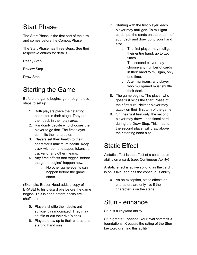#### <span id="page-40-0"></span>Start Phase

The Start Phase is the first part of the turn, and comes before the Combat Phase.

The Start Phase has three steps. See their respective entries for details.

Ready Step

Review Step

Draw Step

#### <span id="page-40-1"></span>Starting the Game

Before the game begins, go through these steps to set up.

- 1. Both players place their starting character in their stage. They put their deck in their play area.
- 2. Randomly decide who chooses the player to go first. The first player commits their character.
- 3. Players set their health to their character's maximum health. Keep track with pen and paper, tokens, a tracker or any other means.
- 4. Any fired effects that trigger "before the game begins" happen now.
	- No other game events can happen before the game starts.

(Example: Eraser Head adds a copy of ERASE! to his discard pile before the game begins. This is done before decks are shuffled.)

- 5. Players shuffle their decks until sufficiently randomized. They may shuffle or cut their rival's deck.
- 6. Players draw up to their character's starting hand size.
- 7. Starting with the first player, each player may mulligan. To mulligan cards, put the cards on the bottom of your deck and draw up to your hand size.
	- a. The first player may mulligan their entire hand, up to two times.
	- b. The second player may choose any number of cards in their hand to mulligan, only one time.
	- c. After mulligans, any player who mulliganed must shuffle their deck.
- 8. The game begins. The player who goes first skips the Start Phase of their first turn. Neither player may attack on their first turn of the game.
- 9. On their first turn only, the second player may draw 1 additional card during the Draw Step. This means the second player will draw above their starting hand size.

#### <span id="page-40-2"></span>Static Effect

A static effect is the effect of a continuous ability on a card. (see: Continuous Ability)

A static effect is active so long as the card it is on is live (and has the continuous ability).

● As an exception, static effects on characters are only live if the character is on the stage.

#### <span id="page-40-3"></span>Stun - enhance

Stun is a keyword ability.

Stun grants "Enhance: Your rival commits X foundations. X equals the rating of the Stun keyword granting this ability."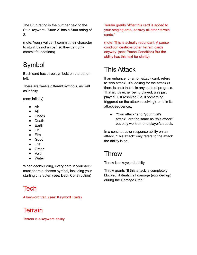The Stun rating is the number next to the Stun keyword. "Stun: 2" has a Stun rating of 2.

(note: Your rival can't commit their character to stun! It's not a cost, so they can only commit foundations)

## <span id="page-41-0"></span>Symbol

Each card has three symbols on the bottom left.

There are twelve different symbols, as well as infinity.

(see: Infinity)

- Air
- All
- Chaos
- Death
- Earth
- Evil
- Fire
- Good
- Life
- Order
- Void
- Water

When deckbuilding, every card in your deck must share a chosen symbol, including your starting character. (see: Deck Construction)

## <span id="page-41-1"></span>Tech

A keyword trait. (see: Keyword Traits)

#### <span id="page-41-2"></span>**Terrain**

Terrain is a keyword ability.

Terrain grants "After this card is added to your staging area, destroy all other terrain cards."

(note: This is actually redundant. A pause condition destroys other Terrain cards anyway. (see: Pause Condition) But the ability has this text for clarity)

## <span id="page-41-3"></span>This Attack

If an enhance, or a non-attack card, refers to "this attack", it's looking for the attack (if there is one) that is in any state of progress. That is, it's either being played, was just played, just resolved (i.e. if something triggered on the attack resolving), or is in its attack sequence..

● "Your attack" and "your rival's attack", are the same as "this attack" but only work on one player's attack.

In a continuous or response ability on an attack, "This attack" only refers to the attack the ability is on.

#### <span id="page-41-4"></span>Throw

Throw is a keyword ability.

Throw grants "If this attack is completely blocked, it deals half damage (rounded up) during the Damage Step."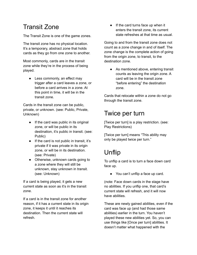## <span id="page-42-0"></span>Transit Zone

The Transit Zone is one of the game zones.

The transit zone has no physical location. It's a temporary, abstract zone that holds cards as they go from one zone to another.

Most commonly, cards are in the transit zone while they're in the process of being played.

• Less commonly, an effect may trigger after a card leaves a zone, or before a card arrives in a zone. At this point in time, it will be in the transit zone.

Cards in the transit zone can be public, private, or unknown. (see: Public, Private, Unknown)

- If the card was public in its original zone, or will be public in its destination, it's public in transit. (see: Public)
- If the card is not public in transit, it's private if it was private in its origin zone, or will be in its destination. (see: Private)
- Otherwise, unknown cards going to a zone where they will still be unknown, stay unknown in transit. (see: Unknown)

If a card is being played, it gets a new current state as soon as it's in the transit zone.

If a card is in the transit zone for another reason, if it has a current state in its origin zone, it keeps it until it reaches its destination. Then the current state will refresh.

● If the card turns face up when it enters the transit zone, its current state refreshes at that time as usual.

Going to and from the transit zone does not count as a zone change in and of itself. The zone change is the complete action of going from the origin zone, to transit, to the destination zone.

• As mentioned above, entering transit counts as leaving the origin zone. A card will be in the transit zone "before entering" the destination zone.

Cards that relocate within a zone do not go through the transit zone.

#### <span id="page-42-1"></span>Twice per turn

[Twice per turn] is a play restriction. (see: Play Restrictions)

[Twice per turn] means "This ability may only be played twice per turn."

## <span id="page-42-2"></span>Unflip

To unflip a card is to turn a face down card face up.

● You can't unflip a face up card.

(note: Face down cards in the stage have no abilities. If you unflip one, that card's current state will refresh, and it will now have abilities.

These are newly gained abilities, even if the card was face up (and had those same abilities) earlier in the turn. You haven't played these new abilities yet. So, you can use things like [Once per turn] abilities. It doesn't matter what happened with the